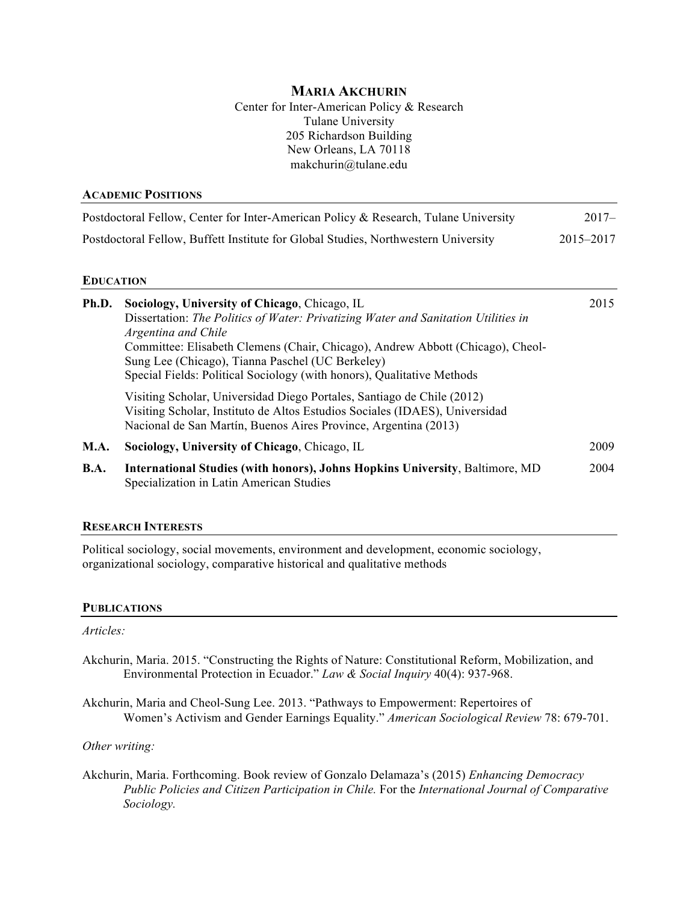## **MARIA AKCHURIN**

Center for Inter-American Policy & Research Tulane University 205 Richardson Building New Orleans, LA 70118 makchurin@tulane.edu

| ACADEMIC POSITIONS                                                                  |           |
|-------------------------------------------------------------------------------------|-----------|
| Postdoctoral Fellow, Center for Inter-American Policy & Research, Tulane University | $2017 -$  |
| Postdoctoral Fellow, Buffett Institute for Global Studies, Northwestern University  | 2015–2017 |
|                                                                                     |           |

#### **EDUCATION**

**ACADEMIC POSITIONS**

| Ph.D.       | Sociology, University of Chicago, Chicago, IL<br>Dissertation: The Politics of Water: Privatizing Water and Sanitation Utilities in<br>Argentina and Chile<br>Committee: Elisabeth Clemens (Chair, Chicago), Andrew Abbott (Chicago), Cheol-<br>Sung Lee (Chicago), Tianna Paschel (UC Berkeley)<br>Special Fields: Political Sociology (with honors), Qualitative Methods<br>Visiting Scholar, Universidad Diego Portales, Santiago de Chile (2012)<br>Visiting Scholar, Instituto de Altos Estudios Sociales (IDAES), Universidad<br>Nacional de San Martín, Buenos Aires Province, Argentina (2013) | 2015 |
|-------------|--------------------------------------------------------------------------------------------------------------------------------------------------------------------------------------------------------------------------------------------------------------------------------------------------------------------------------------------------------------------------------------------------------------------------------------------------------------------------------------------------------------------------------------------------------------------------------------------------------|------|
| <b>M.A.</b> | Sociology, University of Chicago, Chicago, IL                                                                                                                                                                                                                                                                                                                                                                                                                                                                                                                                                          | 2009 |
| <b>B.A.</b> | <b>International Studies (with honors), Johns Hopkins University, Baltimore, MD</b><br>Specialization in Latin American Studies                                                                                                                                                                                                                                                                                                                                                                                                                                                                        | 2004 |

#### **RESEARCH INTERESTS**

Political sociology, social movements, environment and development, economic sociology, organizational sociology, comparative historical and qualitative methods

#### **PUBLICATIONS**

*Articles:*

- Akchurin, Maria. 2015. "Constructing the Rights of Nature: Constitutional Reform, Mobilization, and Environmental Protection in Ecuador." *Law & Social Inquiry* 40(4): 937-968.
- Akchurin, Maria and Cheol-Sung Lee. 2013. "Pathways to Empowerment: Repertoires of Women's Activism and Gender Earnings Equality." *American Sociological Review* 78: 679-701.

#### *Other writing:*

Akchurin, Maria. Forthcoming. Book review of Gonzalo Delamaza's (2015) *Enhancing Democracy Public Policies and Citizen Participation in Chile.* For the *International Journal of Comparative Sociology.*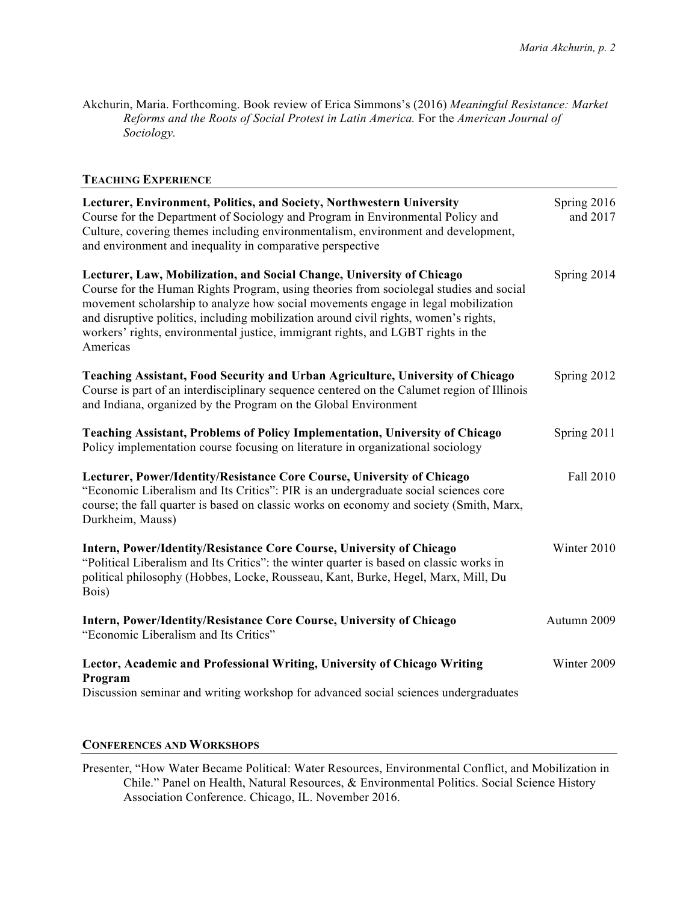Akchurin, Maria. Forthcoming. Book review of Erica Simmons's (2016) *Meaningful Resistance: Market Reforms and the Roots of Social Protest in Latin America.* For the *American Journal of Sociology.*

## **TEACHING EXPERIENCE**

| Lecturer, Environment, Politics, and Society, Northwestern University<br>Course for the Department of Sociology and Program in Environmental Policy and<br>Culture, covering themes including environmentalism, environment and development,<br>and environment and inequality in comparative perspective                                                                                                                                    | Spring 2016<br>and 2017 |
|----------------------------------------------------------------------------------------------------------------------------------------------------------------------------------------------------------------------------------------------------------------------------------------------------------------------------------------------------------------------------------------------------------------------------------------------|-------------------------|
| Lecturer, Law, Mobilization, and Social Change, University of Chicago<br>Course for the Human Rights Program, using theories from sociolegal studies and social<br>movement scholarship to analyze how social movements engage in legal mobilization<br>and disruptive politics, including mobilization around civil rights, women's rights,<br>workers' rights, environmental justice, immigrant rights, and LGBT rights in the<br>Americas | Spring 2014             |
| Teaching Assistant, Food Security and Urban Agriculture, University of Chicago<br>Course is part of an interdisciplinary sequence centered on the Calumet region of Illinois<br>and Indiana, organized by the Program on the Global Environment                                                                                                                                                                                              | Spring 2012             |
| <b>Teaching Assistant, Problems of Policy Implementation, University of Chicago</b><br>Policy implementation course focusing on literature in organizational sociology                                                                                                                                                                                                                                                                       | Spring 2011             |
| Lecturer, Power/Identity/Resistance Core Course, University of Chicago<br>"Economic Liberalism and Its Critics": PIR is an undergraduate social sciences core<br>course; the fall quarter is based on classic works on economy and society (Smith, Marx,<br>Durkheim, Mauss)                                                                                                                                                                 | Fall 2010               |
| Intern, Power/Identity/Resistance Core Course, University of Chicago<br>"Political Liberalism and Its Critics": the winter quarter is based on classic works in<br>political philosophy (Hobbes, Locke, Rousseau, Kant, Burke, Hegel, Marx, Mill, Du<br>Bois)                                                                                                                                                                                | Winter 2010             |
| Intern, Power/Identity/Resistance Core Course, University of Chicago<br>"Economic Liberalism and Its Critics"                                                                                                                                                                                                                                                                                                                                | Autumn 2009             |
| Lector, Academic and Professional Writing, University of Chicago Writing<br>Program<br>Discussion seminar and writing workshop for advanced social sciences undergraduates                                                                                                                                                                                                                                                                   | Winter 2009             |

## **CONFERENCES AND WORKSHOPS**

Presenter, "How Water Became Political: Water Resources, Environmental Conflict, and Mobilization in Chile." Panel on Health, Natural Resources, & Environmental Politics. Social Science History Association Conference. Chicago, IL. November 2016.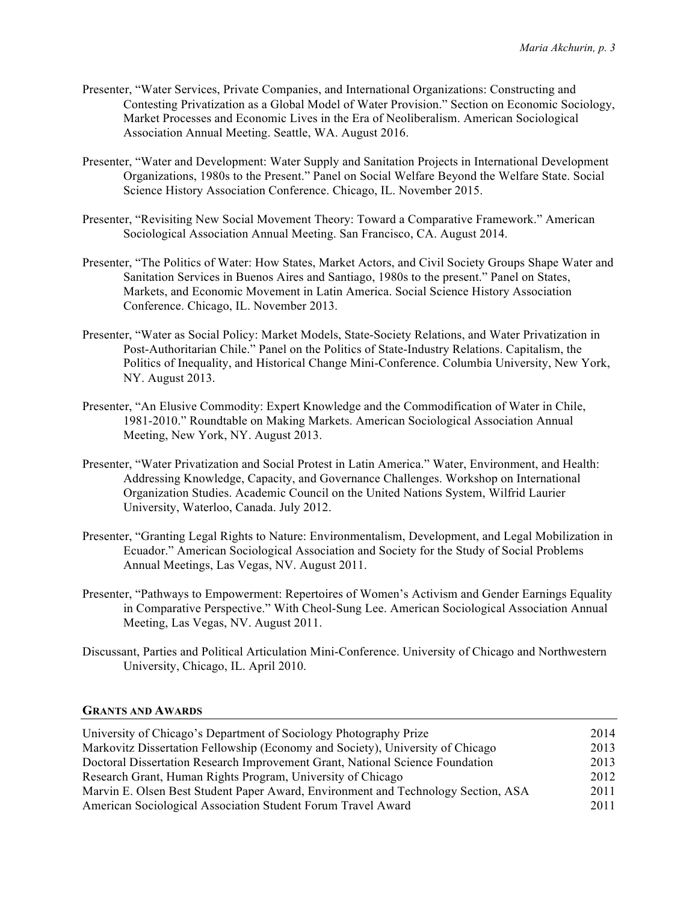- Presenter, "Water Services, Private Companies, and International Organizations: Constructing and Contesting Privatization as a Global Model of Water Provision." Section on Economic Sociology, Market Processes and Economic Lives in the Era of Neoliberalism. American Sociological Association Annual Meeting. Seattle, WA. August 2016.
- Presenter, "Water and Development: Water Supply and Sanitation Projects in International Development Organizations, 1980s to the Present." Panel on Social Welfare Beyond the Welfare State. Social Science History Association Conference. Chicago, IL. November 2015.
- Presenter, "Revisiting New Social Movement Theory: Toward a Comparative Framework." American Sociological Association Annual Meeting. San Francisco, CA. August 2014.
- Presenter, "The Politics of Water: How States, Market Actors, and Civil Society Groups Shape Water and Sanitation Services in Buenos Aires and Santiago, 1980s to the present." Panel on States, Markets, and Economic Movement in Latin America. Social Science History Association Conference. Chicago, IL. November 2013.
- Presenter, "Water as Social Policy: Market Models, State-Society Relations, and Water Privatization in Post-Authoritarian Chile." Panel on the Politics of State-Industry Relations. Capitalism, the Politics of Inequality, and Historical Change Mini-Conference. Columbia University, New York, NY. August 2013.
- Presenter, "An Elusive Commodity: Expert Knowledge and the Commodification of Water in Chile, 1981-2010." Roundtable on Making Markets. American Sociological Association Annual Meeting, New York, NY. August 2013.
- Presenter, "Water Privatization and Social Protest in Latin America." Water, Environment, and Health: Addressing Knowledge, Capacity, and Governance Challenges. Workshop on International Organization Studies. Academic Council on the United Nations System, Wilfrid Laurier University, Waterloo, Canada. July 2012.
- Presenter, "Granting Legal Rights to Nature: Environmentalism, Development, and Legal Mobilization in Ecuador." American Sociological Association and Society for the Study of Social Problems Annual Meetings, Las Vegas, NV. August 2011.
- Presenter, "Pathways to Empowerment: Repertoires of Women's Activism and Gender Earnings Equality in Comparative Perspective." With Cheol-Sung Lee. American Sociological Association Annual Meeting, Las Vegas, NV. August 2011.
- Discussant, Parties and Political Articulation Mini-Conference. University of Chicago and Northwestern University, Chicago, IL. April 2010.

#### **GRANTS AND AWARDS**

| University of Chicago's Department of Sociology Photography Prize                 | 2014 |
|-----------------------------------------------------------------------------------|------|
| Markovitz Dissertation Fellowship (Economy and Society), University of Chicago    | 2013 |
| Doctoral Dissertation Research Improvement Grant, National Science Foundation     | 2013 |
| Research Grant, Human Rights Program, University of Chicago                       | 2012 |
| Marvin E. Olsen Best Student Paper Award, Environment and Technology Section, ASA | 2011 |
| American Sociological Association Student Forum Travel Award                      | 2011 |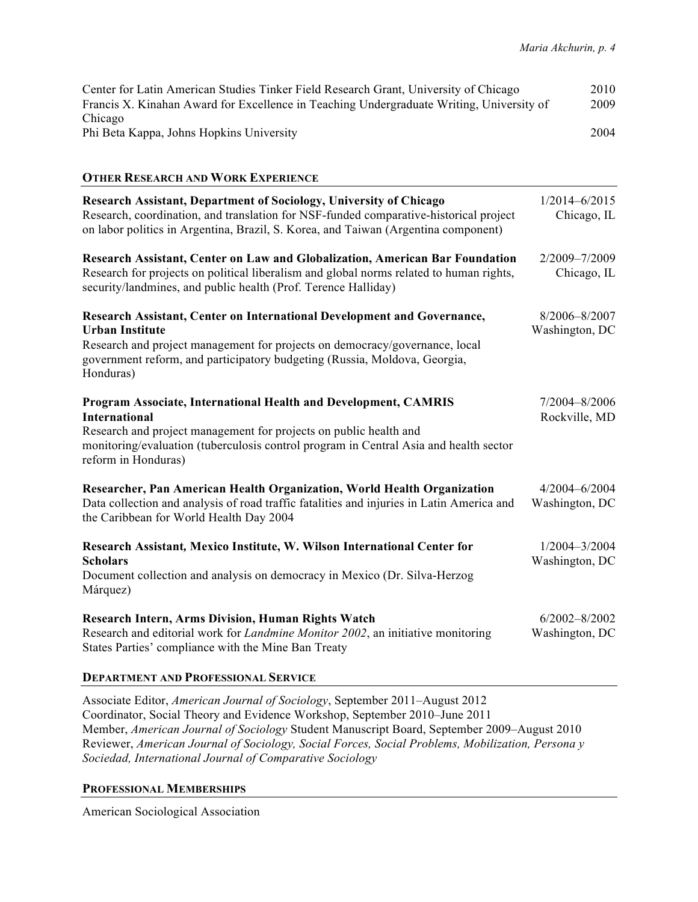| Center for Latin American Studies Tinker Field Research Grant, University of Chicago     | 2010 |
|------------------------------------------------------------------------------------------|------|
| Francis X. Kinahan Award for Excellence in Teaching Undergraduate Writing, University of | 2009 |
| Chicago                                                                                  |      |
| Phi Beta Kappa, Johns Hopkins University                                                 | 2004 |

## **OTHER RESEARCH AND WORK EXPERIENCE**

| <b>Research Assistant, Department of Sociology, University of Chicago</b><br>Research, coordination, and translation for NSF-funded comparative-historical project<br>on labor politics in Argentina, Brazil, S. Korea, and Taiwan (Argentina component)                     | $1/2014 - 6/2015$<br>Chicago, IL    |
|------------------------------------------------------------------------------------------------------------------------------------------------------------------------------------------------------------------------------------------------------------------------------|-------------------------------------|
| Research Assistant, Center on Law and Globalization, American Bar Foundation<br>Research for projects on political liberalism and global norms related to human rights,<br>security/landmines, and public health (Prof. Terence Halliday)                                    | 2/2009-7/2009<br>Chicago, IL        |
| Research Assistant, Center on International Development and Governance,<br><b>Urban Institute</b><br>Research and project management for projects on democracy/governance, local<br>government reform, and participatory budgeting (Russia, Moldova, Georgia,<br>Honduras)   | 8/2006-8/2007<br>Washington, DC     |
| Program Associate, International Health and Development, CAMRIS<br><b>International</b><br>Research and project management for projects on public health and<br>monitoring/evaluation (tuberculosis control program in Central Asia and health sector<br>reform in Honduras) | 7/2004-8/2006<br>Rockville, MD      |
| Researcher, Pan American Health Organization, World Health Organization<br>Data collection and analysis of road traffic fatalities and injuries in Latin America and<br>the Caribbean for World Health Day 2004                                                              | 4/2004-6/2004<br>Washington, DC     |
| Research Assistant, Mexico Institute, W. Wilson International Center for<br><b>Scholars</b><br>Document collection and analysis on democracy in Mexico (Dr. Silva-Herzog<br>Márquez)                                                                                         | $1/2004 - 3/2004$<br>Washington, DC |
| <b>Research Intern, Arms Division, Human Rights Watch</b><br>Research and editorial work for <i>Landmine Monitor 2002</i> , an initiative monitoring<br>States Parties' compliance with the Mine Ban Treaty                                                                  | $6/2002 - 8/2002$<br>Washington, DC |
| <b>DEBIRTMENT IND DROEDGIONLY CERVICE</b>                                                                                                                                                                                                                                    |                                     |

## **DEPARTMENT AND PROFESSIONAL SERVICE**

Associate Editor, *American Journal of Sociology*, September 2011–August 2012 Coordinator, Social Theory and Evidence Workshop, September 2010–June 2011 Member, *American Journal of Sociology* Student Manuscript Board, September 2009–August 2010 Reviewer, *American Journal of Sociology, Social Forces, Social Problems, Mobilization, Persona y Sociedad, International Journal of Comparative Sociology*

## **PROFESSIONAL MEMBERSHIPS**

American Sociological Association